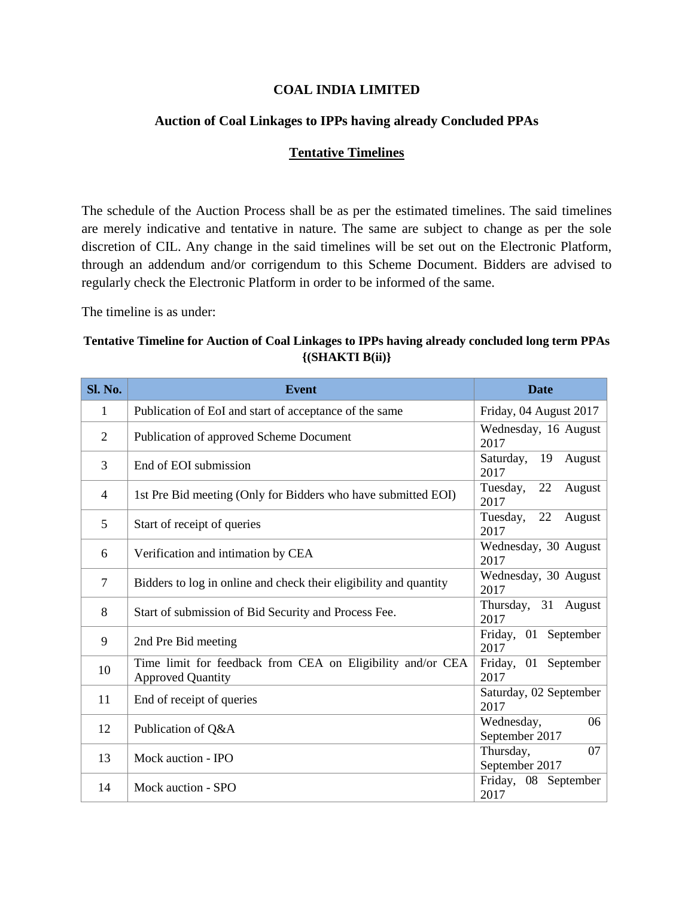## **COAL INDIA LIMITED**

## **Auction of Coal Linkages to IPPs having already Concluded PPAs**

## **Tentative Timelines**

The schedule of the Auction Process shall be as per the estimated timelines. The said timelines are merely indicative and tentative in nature. The same are subject to change as per the sole discretion of CIL. Any change in the said timelines will be set out on the Electronic Platform, through an addendum and/or corrigendum to this Scheme Document. Bidders are advised to regularly check the Electronic Platform in order to be informed of the same.

The timeline is as under:

## **Tentative Timeline for Auction of Coal Linkages to IPPs having already concluded long term PPAs {(SHAKTI B(ii)}**

| Sl. No.        | <b>Event</b>                                                                           | <b>Date</b>                        |
|----------------|----------------------------------------------------------------------------------------|------------------------------------|
| 1              | Publication of EoI and start of acceptance of the same                                 | Friday, 04 August 2017             |
| $\mathfrak{2}$ | Publication of approved Scheme Document                                                | Wednesday, 16 August<br>2017       |
| 3              | End of EOI submission                                                                  | Saturday,<br>19<br>August<br>2017  |
| 4              | 1st Pre Bid meeting (Only for Bidders who have submitted EOI)                          | 22<br>Tuesday,<br>August<br>2017   |
| 5              | Start of receipt of queries                                                            | 22<br>Tuesday,<br>August<br>2017   |
| 6              | Verification and intimation by CEA                                                     | Wednesday, 30 August<br>2017       |
| $\overline{7}$ | Bidders to log in online and check their eligibility and quantity                      | Wednesday, 30 August<br>2017       |
| 8              | Start of submission of Bid Security and Process Fee.                                   | Thursday, 31<br>August<br>2017     |
| 9              | 2nd Pre Bid meeting                                                                    | September<br>Friday, 01<br>2017    |
| 10             | Time limit for feedback from CEA on Eligibility and/or CEA<br><b>Approved Quantity</b> | Friday, 01<br>September<br>2017    |
| 11             | End of receipt of queries                                                              | Saturday, 02 September<br>2017     |
| 12             | Publication of Q&A                                                                     | Wednesday,<br>06<br>September 2017 |
| 13             | Mock auction - IPO                                                                     | Thursday,<br>07<br>September 2017  |
| 14             | Mock auction - SPO                                                                     | Friday, 08 September<br>2017       |